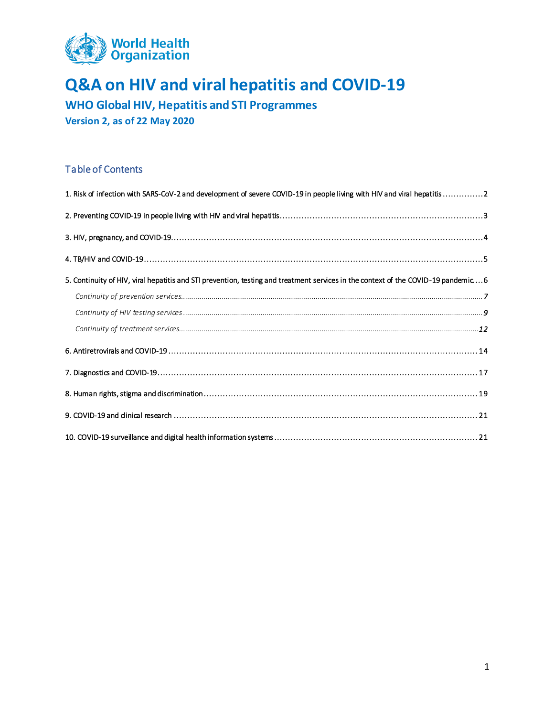

**WHO Global HIV, Hepatitis and STI Programmes Version 2, as of 22 May 2020**

#### Table of Contents

| 1. Risk of infection with SARS-CoV-2 and development of severe COVID-19 in people living with HIV and viral hepatitis2            |
|-----------------------------------------------------------------------------------------------------------------------------------|
|                                                                                                                                   |
|                                                                                                                                   |
|                                                                                                                                   |
| 5. Continuity of HIV, viral hepatitis and STI prevention, testing and treatment services in the context of the COVID-19 pandemic6 |
|                                                                                                                                   |
|                                                                                                                                   |
|                                                                                                                                   |
|                                                                                                                                   |
|                                                                                                                                   |
|                                                                                                                                   |
|                                                                                                                                   |
|                                                                                                                                   |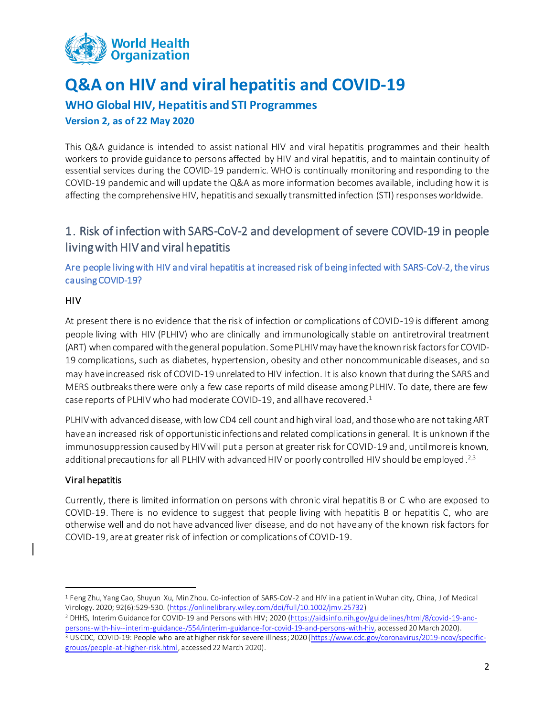

## **WHO Global HIV, Hepatitis and STI Programmes**

**Version 2, as of 22 May 2020**

This Q&A guidance is intended to assist national HIV and viral hepatitis programmes and their health workers to provide guidance to persons affected by HIV and viral hepatitis, and to maintain continuity of essential services during the COVID-19 pandemic. WHO is continually monitoring and responding to the COVID-19 pandemic and will update the Q&A as more information becomes available, including how it is affecting the comprehensive HIV, hepatitis and sexually transmitted infection (STI) responses worldwide.

## <span id="page-1-0"></span>1. Risk of infection with SARS-CoV-2 and development of severe COVID-19 in people living with HIV and viral hepatitis

Are people living with HIV and viral hepatitis at increased risk of being infected with SARS-CoV-2, the virus causing COVID-19?

#### HIV

At present there is no evidence that the risk of infection or complications of COVID-19 is different among people living with HIV (PLHIV) who are clinically and immunologically stable on antiretroviral treatment (ART) when compared with the general population. Some PLHIV may have the known risk factors for COVID-19 complications, such as diabetes, hypertension, obesity and other noncommunicable diseases, and so may have increased risk of COVID-19 unrelated to HIV infection. It is also known that during the SARS and MERS outbreaks there were only a few case reports of mild disease among PLHIV. To date, there are few case reports of PLHIV who had moderate COVID-19, and all have recovered. 1

PLHIVwith advanced disease, with low CD4 cell count and high viral load, and those who are not taking ART have an increased risk of opportunistic infections and related complications in general. It is unknown if the immunosuppression caused by HIV will put a person at greater risk for COVID-19 and, until more is known, additional precautions for all PLHIV with advanced HIV or poorly controlled HIV should be employed.<sup>2,3</sup>

#### Viral hepatitis

 $\ddot{\phantom{a}}$ 

Currently, there is limited information on persons with chronic viral hepatitis B or C who are exposed to COVID-19. There is no evidence to suggest that people living with hepatitis B or hepatitis C, who are otherwise well and do not have advanced liver disease, and do not have any of the known risk factors for COVID-19, are at greater risk of infection or complications of COVID-19.

<sup>1</sup> Feng Zhu, Yang Cao, Shuyun Xu, Min Zhou. Co‐infection of SARS‐CoV‐2 and HIV in a patient in Wuhan city, China, J of Medical Virology. 2020; 92(6):529-530. [\(https://onlinelibrary.wiley.com/doi/full/10.1002/jmv.25732\)](https://onlinelibrary.wiley.com/doi/full/10.1002/jmv.25732)

<sup>2</sup> DHHS, Interim Guidance for COVID-19 and Persons with HIV; 2020 [\(https://aidsinfo.nih.gov/guidelines/html/8/covid-19-and](https://aidsinfo.nih.gov/guidelines/html/8/covid-19-and-persons-with-hiv--interim-guidance-/554/interim-guidance-for-covid-19-and-persons-with-hiv)[persons-with-hiv--interim-guidance-/554/interim-guidance-for-covid-19-and-persons-with-hiv,](https://aidsinfo.nih.gov/guidelines/html/8/covid-19-and-persons-with-hiv--interim-guidance-/554/interim-guidance-for-covid-19-and-persons-with-hiv) accessed 20 March 2020). <sup>3</sup> US CDC, COVID-19: People who are at higher risk for severe illness; 2020 [\(https://www.cdc.gov/coronavirus/2019-ncov/specific-](https://www.cdc.gov/coronavirus/2019-ncov/specific-groups/people-at-higher-risk.html)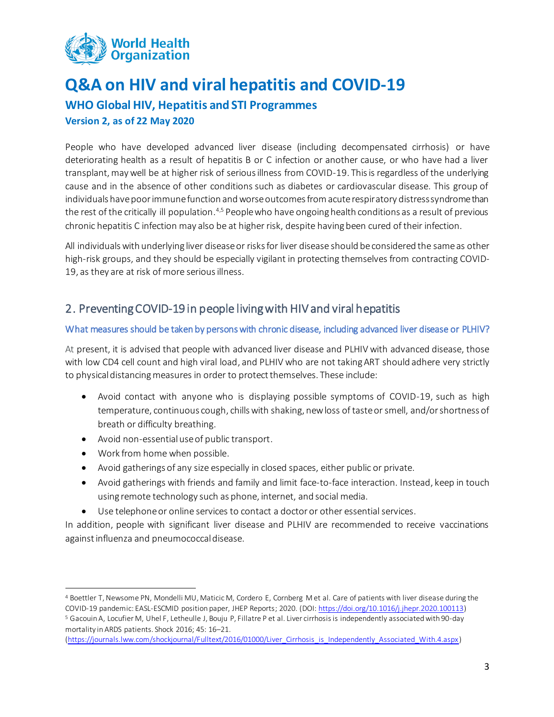

**WHO Global HIV, Hepatitis and STI Programmes**

### **Version 2, as of 22 May 2020**

People who have developed advanced liver disease (including decompensated cirrhosis) or have deteriorating health as a result of hepatitis B or C infection or another cause, or who have had a liver transplant, may well be at higher risk of serious illness from COVID-19. This is regardless of the underlying cause and in the absence of other conditions such as diabetes or cardiovascular disease. This group of individuals have poor immune function and worse outcomes from acute respiratory distress syndrome than the rest of the critically ill population.<sup>4,5</sup> People who have ongoing health conditions as a result of previous chronic hepatitis C infection may also be at higher risk, despite having been cured of their infection.

All individualswith underlying liver disease or risks for liver disease should be considered the same as other high-risk groups, and they should be especially vigilant in protecting themselves from contracting COVID-19, as they are at risk of more serious illness.

## <span id="page-2-0"></span>2. Preventing COVID-19 in people living with HIV and viral hepatitis

#### What measures should be taken by persons with chronic disease, including advanced liver disease or PLHIV?

At present, it is advised that people with advanced liver disease and PLHIV with advanced disease, those with low CD4 cell count and high viral load, and PLHIV who are not taking ART should adhere very strictly to physical distancing measures in order to protect themselves. These include:

- Avoid contact with anyone who is displaying possible symptoms of COVID-19, such as high temperature, continuous cough, chills with shaking, new loss of taste or smell, and/or shortness of breath or difficulty breathing.
- Avoid non-essential use of public transport.
- Work from home when possible.
- Avoid gatherings of any size especially in closed spaces, either public or private.
- Avoid gatherings with friends and family and limit face-to-face interaction. Instead, keep in touch using remote technology such as phone, internet, and social media.
- Use telephone or online services to contact a doctor or other essential services.

In addition, people with significant liver disease and PLHIV are recommended to receive vaccinations against influenza and pneumococcal disease.

 $\ddot{\phantom{a}}$ <sup>4</sup> Boettler T, Newsome PN, Mondelli MU, Maticic M, Cordero E, Cornberg M et al. Care of patients with liver disease during the COVID-19 pandemic: EASL-ESCMID position paper, JHEP Reports; 2020. (DOI[: https://doi.org/10.1016/j.jhepr.2020.100113\)](https://doi.org/10.1016/j.jhepr.2020.100113)

<sup>5</sup> Gacouin A, Locufier M, Uhel F, Letheulle J, Bouju P, Fillatre P et al. Liver cirrhosis is independently associated with 90-day mortality in ARDS patients. Shock 2016; 45: 16–21.

[<sup>\(</sup>https://journals.lww.com/shockjournal/Fulltext/2016/01000/Liver\\_Cirrhosis\\_is\\_Independently\\_Associated\\_With.4.aspx](https://journals.lww.com/shockjournal/Fulltext/2016/01000/Liver_Cirrhosis_is_Independently_Associated_With.4.aspx) )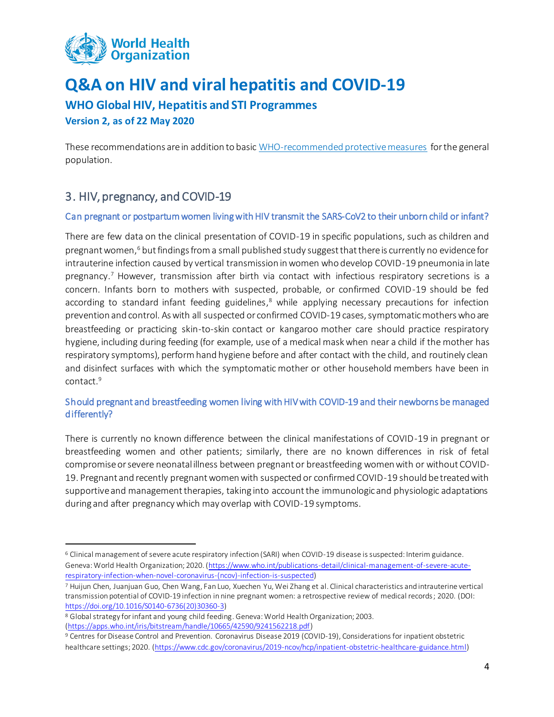

**WHO Global HIV, Hepatitis and STI Programmes**

**Version 2, as of 22 May 2020**

 $\ddot{\phantom{a}}$ 

These recommendations are in addition to basic [WHO-recommended protective measures](https://www.who.int/emergencies/diseases/novel-coronavirus-2019/advice-for-public) for the general population.

## <span id="page-3-0"></span>3. HIV, pregnancy, and COVID-19

### Can pregnant or postpartum women living with HIV transmit the SARS-CoV2 to their unborn child or infant?

There are few data on the clinical presentation of COVID-19 in specific populations, such as children and pregnant women, <sup>6</sup> but findings from a small published study suggest that there is currently no evidence for intrauterine infection caused by vertical transmission in women who develop COVID-19 pneumonia in late pregnancy.<sup>7</sup> However, transmission after birth via contact with infectious respiratory secretions is a concern. Infants born to mothers with suspected, probable, or confirmed COVID-19 should be fed according to standard infant feeding guidelines,<sup>8</sup> while applying necessary precautions for infection prevention and control. As with all suspected or confirmed COVID-19 cases, symptomatic mothers who are breastfeeding or practicing skin-to-skin contact or kangaroo mother care should practice respiratory hygiene, including during feeding (for example, use of a medical mask when near a child if the mother has respiratory symptoms), perform hand hygiene before and after contact with the child, and routinely clean and disinfect surfaces with which the symptomatic mother or other household members have been in contact. 9

### Should pregnant and breastfeeding women living with HIV with COVID-19 and their newborns be managed differently?

There is currently no known difference between the clinical manifestations of COVID-19 in pregnant or breastfeeding women and other patients; similarly, there are no known differences in risk of fetal compromise or severe neonatal illness between pregnant or breastfeeding women with or without COVID-19. Pregnant and recently pregnant women with suspected or confirmed COVID-19 should be treated with supportive and management therapies, taking into account the immunologic and physiologic adaptations during and after pregnancy which may overlap with COVID-19 symptoms.

<sup>6</sup> Clinical management of severe acute respiratory infection (SARI) when COVID-19 disease is suspected: Interim guidance. Geneva: World Health Organization; 2020. [\(https://www.who.int/publications-detail/clinical-management-of-severe-acute](https://www.who.int/publications-detail/clinical-management-of-severe-acute-respiratory-infection-when-novel-coronavirus-(ncov)-infection-is-suspected)[respiratory-infection-when-novel-coronavirus-\(ncov\)-infection-is-suspected\)](https://www.who.int/publications-detail/clinical-management-of-severe-acute-respiratory-infection-when-novel-coronavirus-(ncov)-infection-is-suspected)

<sup>7</sup> Huijun Chen, Juanjuan Guo, Chen Wang, Fan Luo, Xuechen Yu, Wei Zhang et al. Clinical characteristics and intrauterine vertical transmission potential of COVID-19 infection in nine pregnant women: a retrospective review of medical records; 2020. (DOI: [https://doi.org/10.1016/S0140-6736\(20\)30360-3\)](https://doi.org/10.1016/S0140-6736(20)30360-3)

<sup>8</sup> Global strategy for infant and young child feeding. Geneva: World Health Organization; 2003. [\(https://apps.who.int/iris/bitstream/handle/10665/42590/9241562218.pdf\)](https://apps.who.int/iris/bitstream/handle/10665/42590/9241562218.pdf)

<sup>9</sup> Centres for Disease Control and Prevention. Coronavirus Disease 2019 (COVID-19), Considerations for inpatient obstetric healthcare settings; 2020. [\(https://www.cdc.gov/coronavirus/2019-ncov/hcp/inpatient-obstetric-healthcare-guidance.html\)](https://www.cdc.gov/coronavirus/2019-ncov/hcp/inpatient-obstetric-healthcare-guidance.html)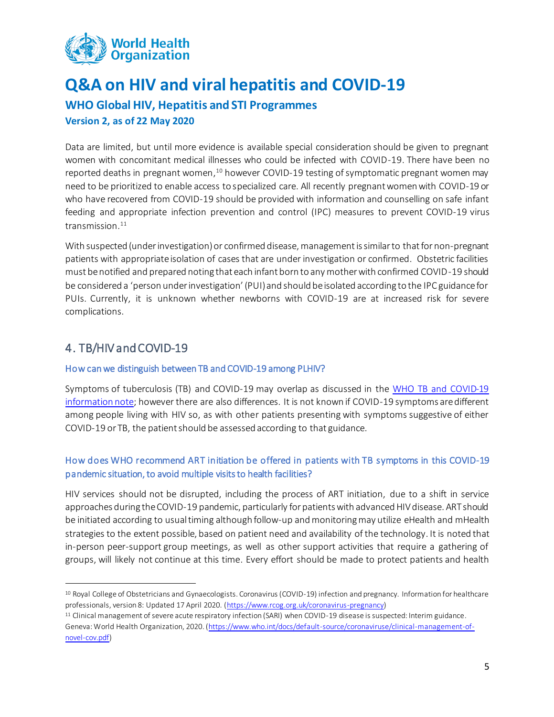

**WHO Global HIV, Hepatitis and STI Programmes**

**Version 2, as of 22 May 2020**

Data are limited, but until more evidence is available special consideration should be given to pregnant women with concomitant medical illnesses who could be infected with COVID-19. There have been no reported deaths in pregnant women,<sup>10</sup> however COVID-19 testing of symptomatic pregnant women may need to be prioritized to enable access to specialized care. All recently pregnant women with COVID-19 or who have recovered from COVID-19 should be provided with information and counselling on safe infant feeding and appropriate infection prevention and control (IPC) measures to prevent COVID-19 virus transmission. 11

With suspected (under investigation) or confirmed disease, management is similar to that for non-pregnant patients with appropriate isolation of cases that are under investigation or confirmed. Obstetric facilities must be notified and prepared noting that each infant born to any mother with confirmed COVID-19 should be considered a 'person under investigation' (PUI) and should be isolated according to the IPC guidance for PUIs. Currently, it is unknown whether newborns with COVID-19 are at increased risk for severe complications.

## <span id="page-4-0"></span>4. TB/HIV and COVID-19

 $\ddot{\phantom{a}}$ 

#### How can we distinguish between TB and COVID-19 among PLHIV?

Symptoms of tuberculosis (TB) and COVID-19 may overlap as discussed in the WHO TB [and COVID-19](https://www.who.int/tb/COVID_19considerations_tuberculosis_services.pdf)  [information note;](https://www.who.int/tb/COVID_19considerations_tuberculosis_services.pdf) however there are also differences. It is not known if COVID-19 symptoms are different among people living with HIV so, as with other patients presenting with symptoms suggestive of either COVID-19 or TB, the patient should be assessed according to that guidance.

### How does WHO recommend ART initiation be offered in patients with TB symptoms in this COVID-19 pandemic situation, to avoid multiple visits to health facilities?

HIV services should not be disrupted, including the process of ART initiation, due to a shift in service approaches during the COVID-19 pandemic, particularly forpatients with advanced HIV disease. ART should be initiated according to usual timing although follow-up and monitoring may utilize eHealth and mHealth strategies to the extent possible, based on patient need and availability of the technology. It is noted that in-person peer-support group meetings, as well as other support activities that require a gathering of groups, will likely not continue at this time. Every effort should be made to protect patients and health

<sup>10</sup> Royal College of Obstetricians and Gynaecologists. Coronavirus (COVID-19) infection and pregnancy. Information for healthcare professionals, version 8: Updated 17 April 2020. [\(https://www.rcog.org.uk/coronavirus-pregnancy\)](https://www.rcog.org.uk/coronavirus-pregnancy)

<sup>11</sup> Clinical management of severe acute respiratory infection (SARI) when COVID-19 disease is suspected: Interim guidance. Geneva: World Health Organization, 2020. [\(https://www.who.int/docs/default-source/coronaviruse/clinical-management-of](https://www.who.int/docs/default-source/coronaviruse/clinical-management-of-novel-cov.pdf)[novel-cov.pdf\)](https://www.who.int/docs/default-source/coronaviruse/clinical-management-of-novel-cov.pdf)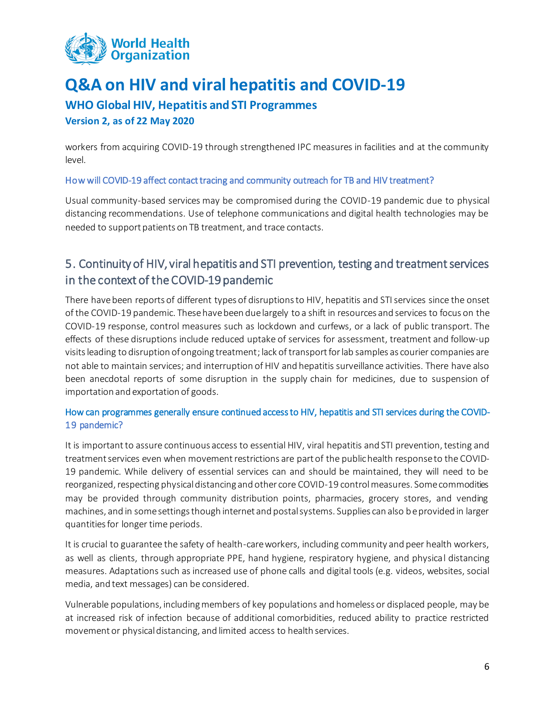

### **WHO Global HIV, Hepatitis and STI Programmes**

#### **Version 2, as of 22 May 2020**

workers from acquiring COVID-19 through strengthened IPC measures in facilities and at the community level.

#### How will COVID-19 affect contact tracing and community outreach for TB and HIV treatment?

Usual community-based services may be compromised during the COVID-19 pandemic due to physical distancing recommendations. Use of telephone communications and digital health technologies may be needed to support patients on TB treatment, and trace contacts.

## <span id="page-5-0"></span>5. Continuity of HIV, viral hepatitis and STI prevention, testing and treatment services in the context of the COVID-19 pandemic

There have been reports of different types of disruptions to HIV, hepatitis and STI services since the onset of the COVID-19 pandemic. Thesehavebeen due largely to a shift in resources and services to focus on the COVID-19 response, control measures such as lockdown and curfews, or a lack of public transport. The effects of these disruptions include reduced uptake of services for assessment, treatment and follow-up visits leading to disruption of ongoing treatment; lack of transport for lab samples as courier companies are not able to maintain services; and interruption of HIV and hepatitis surveillance activities. There have also been anecdotal reports of some disruption in the supply chain for medicines, due to suspension of importation and exportation of goods.

### How can programmes generally ensure continued access to HIV, hepatitis and STI services during the COVID-19 pandemic?

It is important to assure continuous access to essential HIV, viral hepatitis and STI prevention, testing and treatment services even when movement restrictions are part of the public health response to the COVID-19 pandemic. While delivery of essential services can and should be maintained, they will need to be reorganized, respecting physicaldistancing and other core COVID-19 controlmeasures. Some commodities may be provided through community distribution points, pharmacies, grocery stores, and vending machines, and in some settings though internet and postal systems. Supplies can also be provided in larger quantities for longer time periods.

It is crucial to guarantee the safety of health-care workers, including community and peer health workers, as well as clients, through appropriate PPE, hand hygiene, respiratory hygiene, and physical distancing measures. Adaptations such as increased use of phone calls and digital tools (e.g. videos, websites, social media, and text messages) can be considered.

Vulnerable populations, including members of key populations and homeless or displaced people, may be at increased risk of infection because of additional comorbidities, reduced ability to practice restricted movement or physical distancing, and limited access to health services.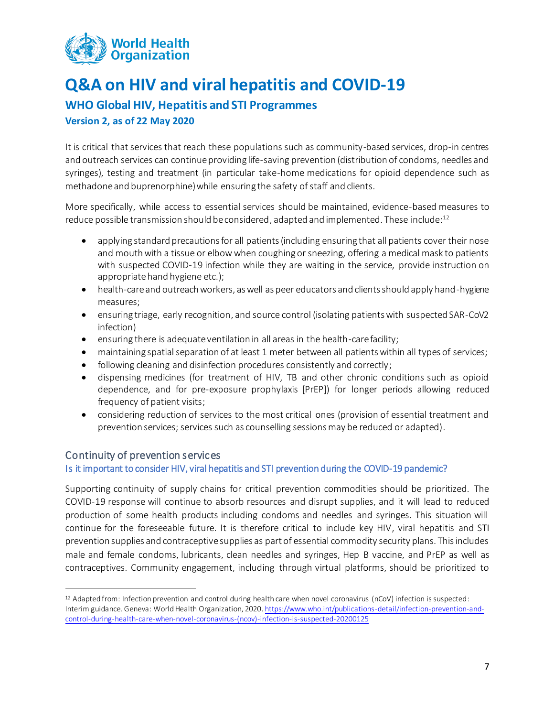

### **WHO Global HIV, Hepatitis and STI Programmes**

#### **Version 2, as of 22 May 2020**

It is critical that services that reach these populations such as community-based services, drop-in centres and outreach services can continue providing life-saving prevention (distribution of condoms, needles and syringes), testing and treatment (in particular take-home medications for opioid dependence such as methadone and buprenorphine) while ensuring the safety of staff and clients.

More specifically, while access to essential services should be maintained, evidence-based measures to reduce possible transmission should be considered, adapted and implemented. These include: 12

- applying standard precautions for all patients (including ensuring that all patients cover their nose and mouth with a tissue or elbow when coughing or sneezing, offering a medical mask to patients with suspected COVID-19 infection while they are waiting in the service, provide instruction on appropriate hand hygiene etc.);
- health-care and outreach workers, as well as peer educators and clients should apply hand-hygiene measures;
- ensuring triage, early recognition, and source control (isolating patients with suspected SAR-CoV2 infection)
- ensuring there is adequate ventilation in all areas in the health-care facility;
- maintaining spatial separation of at least 1 meter between all patients within all types of services;
- following cleaning and disinfection procedures consistently and correctly;
- dispensing medicines (for treatment of HIV, TB and other chronic conditions such as opioid dependence, and for pre-exposure prophylaxis [PrEP]) for longer periods allowing reduced frequency of patient visits;
- considering reduction of services to the most critical ones (provision of essential treatment and prevention services; services such as counselling sessions may be reduced or adapted).

#### <span id="page-6-0"></span>Continuity of prevention services

 $\ddot{\phantom{a}}$ 

#### Is it important to consider HIV, viral hepatitis and STI prevention during the COVID-19 pandemic?

Supporting continuity of supply chains for critical prevention commodities should be prioritized. The COVID-19 response will continue to absorb resources and disrupt supplies, and it will lead to reduced production of some health products including condoms and needles and syringes. This situation will continue for the foreseeable future. It is therefore critical to include key HIV, viral hepatitis and STI prevention supplies and contraceptive supplies as part of essential commodity security plans. This includes male and female condoms, lubricants, clean needles and syringes, Hep B vaccine, and PrEP as well as contraceptives. Community engagement, including through virtual platforms, should be prioritized to

<sup>12</sup> Adapted from: Infection prevention and control during health care when novel coronavirus (nCoV) infection is suspected: Interim guidance. Geneva: World Health Organization, 2020[. https://www.who.int/publications-detail/infection-prevention-and](https://www.who.int/publications-detail/infection-prevention-and-control-during-health-care-when-novel-coronavirus-(ncov)-infection-is-suspected-20200125)[control-during-health-care-when-novel-coronavirus-\(ncov\)-infection-is-suspected-20200125](https://www.who.int/publications-detail/infection-prevention-and-control-during-health-care-when-novel-coronavirus-(ncov)-infection-is-suspected-20200125)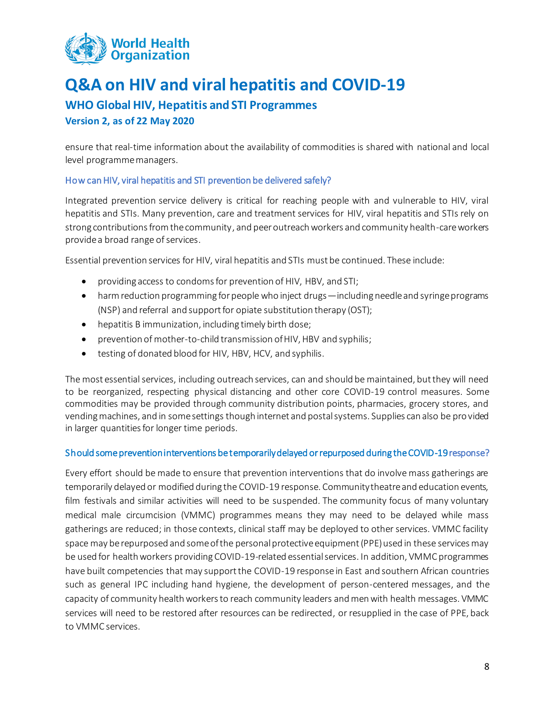

### **WHO Global HIV, Hepatitis and STI Programmes**

#### **Version 2, as of 22 May 2020**

ensure that real-time information about the availability of commodities is shared with national and local level programme managers.

#### How can HIV, viral hepatitis and STI prevention be delivered safely?

Integrated prevention service delivery is critical for reaching people with and vulnerable to HIV, viral hepatitis and STIs. Many prevention, care and treatment services for HIV, viral hepatitis and STIs rely on strong contributions from the community, and peer outreach workers and community health-care workers provide a broad range of services.

Essential prevention services for HIV, viral hepatitis and STIs must be continued. These include:

- providing access to condoms for prevention of HIV, HBV, and STI;
- harm reduction programming for people who inject drugs—including needle and syringe programs (NSP) and referral and support for opiate substitution therapy (OST);
- hepatitis B immunization, including timely birth dose;
- prevention of mother-to-child transmission of HIV, HBV and syphilis;
- testing of donated blood for HIV, HBV, HCV, and syphilis.

The most essential services, including outreach services, can and should be maintained, but they will need to be reorganized, respecting physical distancing and other core COVID-19 control measures. Some commodities may be provided through community distribution points, pharmacies, grocery stores, and vending machines, and in some settings though internet and postal systems. Supplies can also be provided in larger quantities for longer time periods.

#### Should some prevention interventions be temporarily delayed or repurposed during the COVID-19 response?

Every effort should be made to ensure that prevention interventions that do involve mass gatherings are temporarily delayed or modified during the COVID-19 response. Community theatre and education events, film festivals and similar activities will need to be suspended. The community focus of many voluntary medical male circumcision (VMMC) programmes means they may need to be delayed while mass gatherings are reduced; in those contexts, clinical staff may be deployed to other services. VMMC facility space may be repurposed and some of the personal protective equipment (PPE) used in these services may be used for health workers providing COVID-19-related essential services. In addition, VMMC programmes have built competencies that may support the COVID-19 response in East and southern African countries such as general IPC including hand hygiene, the development of person-centered messages, and the capacity of community health workers to reach community leaders and men with health messages. VMMC services will need to be restored after resources can be redirected, or resupplied in the case of PPE, back to VMMC services.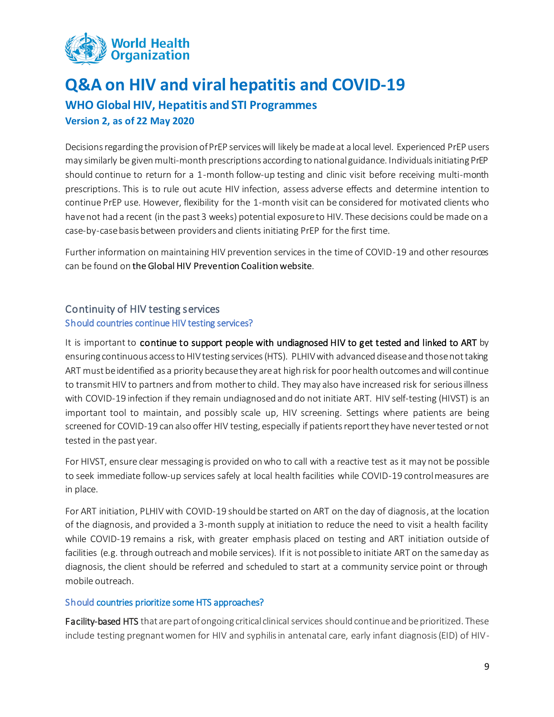

## **Q&A on HIV and viral hepatitis and COVID-19 WHO Global HIV, Hepatitis and STI Programmes**

#### **Version 2, as of 22 May 2020**

Decisions regarding the provision of PrEP services will likely be made at a local level. Experienced PrEP users may similarly be given multi-month prescriptions according to national guidance. Individuals initiating PrEP should continue to return for a 1-month follow-up testing and clinic visit before receiving multi-month prescriptions. This is to rule out acute HIV infection, assess adverse effects and determine intention to continue PrEP use. However, flexibility for the 1-month visit can be considered for motivated clients who have not had a recent (in the past 3 weeks) potential exposure to HIV. These decisions could be made on a case-by-case basis between providers and clients initiating PrEP for the first time.

Further information on maintaining HIV prevention services in the time of COVID-19 and other resources can be found on [the Global HIV Prevention Coalition website](https://hivpreventioncoalition.unaids.org/).

### <span id="page-8-0"></span>Continuity of HIV testing services

#### Should countries continue HIV testing services?

It is important to continue to support people with undiagnosed HIV to get tested and linked to ART by ensuring continuous access to HIV testing services (HTS). PLHIV with advanced disease and those not taking ART must be identified as a priority because they are at high risk for poor health outcomes and will continue to transmit HIV to partners and from mother to child. They may also have increased risk for serious illness with COVID-19 infection if they remain undiagnosed and do not initiate ART. HIV self-testing (HIVST) is an important tool to maintain, and possibly scale up, HIV screening. Settings where patients are being screened for COVID-19 can also offer HIV testing, especially if patients report they have never tested or not tested in the past year.

For HIVST, ensure clear messaging is provided on who to call with a reactive test as it may not be possible to seek immediate follow-up services safely at local health facilities while COVID-19 control measures are in place.

For ART initiation, PLHIV with COVID-19 should be started on ART on the day of diagnosis, at the location of the diagnosis, and provided a 3-month supply at initiation to reduce the need to visit a health facility while COVID-19 remains a risk, with greater emphasis placed on testing and ART initiation outside of facilities (e.g. through outreach and mobile services). If it is not possible to initiate ART on the same day as diagnosis, the client should be referred and scheduled to start at a community service point or through mobile outreach.

#### Should countries prioritize some HTS approaches?

Facility-based HTS that are part of ongoing critical clinical services should continue and be prioritized. These include testing pregnant women for HIV and syphilis in antenatal care, early infant diagnosis (EID) of HIV-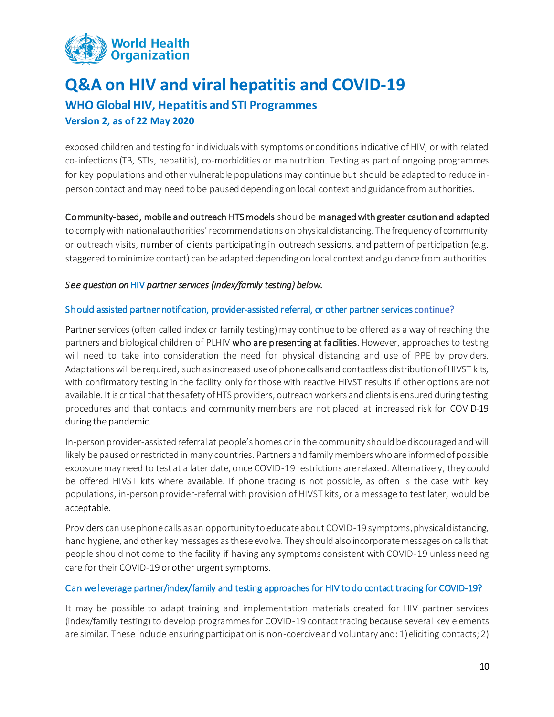

## **Q&A on HIV and viral hepatitis and COVID-19 WHO Global HIV, Hepatitis and STI Programmes Version 2, as of 22 May 2020**

exposed children and testing for individuals with symptoms or conditions indicative of HIV, or with related co-infections (TB, STIs, hepatitis), co-morbidities or malnutrition. Testing as part of ongoing programmes for key populations and other vulnerable populations may continue but should be adapted to reduce inperson contact and may need to be paused depending on local context and guidance from authorities.

#### Community-based, mobile and outreach HTS models should be managed with greater caution and adapted

to comply with national authorities' recommendations on physical distancing. The frequency of community or outreach visits, number of clients participating in outreach sessions, and pattern of participation (e.g. staggered to minimize contact) can be adapted depending on local context and guidance from authorities.

#### *See question on* HIV *partner services (index/family testing) below.*

#### Should assisted partner notification, provider-assisted referral, or other partner services continue?

Partner services (often called index or family testing) may continue to be offered as a way of reaching the partners and biological children of PLHIV who are presenting at facilities. However, approaches to testing will need to take into consideration the need for physical distancing and use of PPE by providers. Adaptations will be required, such as increased use of phone calls and contactless distribution of HIVST kits, with confirmatory testing in the facility only for those with reactive HIVST results if other options are not available. It is critical that the safety of HTS providers, outreach workers and clients is ensured during testing procedures and that contacts and community members are not placed at increased risk for COVID-19 during the pandemic.

In-person provider-assisted referral at people's homes or in the community should be discouraged and will likely be paused or restricted in many countries. Partners and family members who are informed of possible exposure may need to test at a later date, once COVID-19 restrictions are relaxed. Alternatively, they could be offered HIVST kits where available. If phone tracing is not possible, as often is the case with key populations, in-person provider-referral with provision of HIVST kits, or a message to test later, would be acceptable.

Providers can use phone calls as an opportunity to educate about COVID-19 symptoms, physical distancing, hand hygiene, and other key messages as these evolve. They should also incorporate messages on calls that people should not come to the facility if having any symptoms consistent with COVID-19 unless needing care for their COVID-19 or other urgent symptoms.

#### Can we leverage partner/index/family and testing approaches for HIV to do contact tracing for COVID-19?

It may be possible to adapt training and implementation materials created for HIV partner services (index/family testing) to develop programmes for COVID-19 contact tracing because several key elements are similar. These include ensuring participation is non-coercive and voluntary and: 1) eliciting contacts; 2)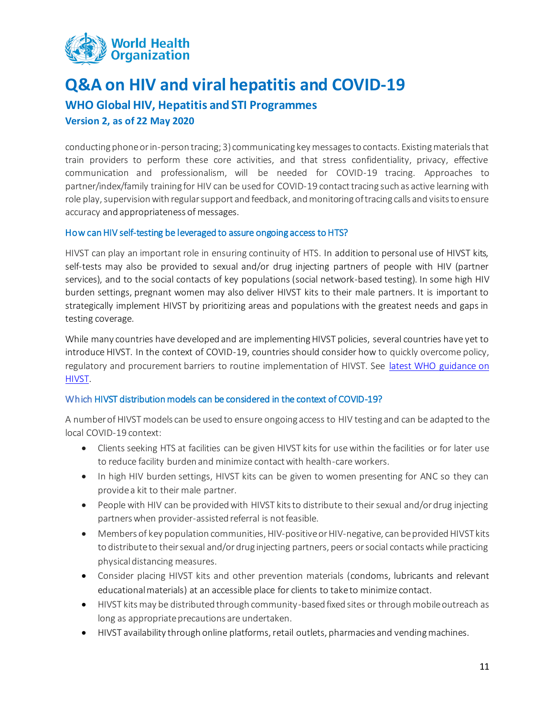

### **WHO Global HIV, Hepatitis and STI Programmes**

#### **Version 2, as of 22 May 2020**

conducting phone or in-person tracing; 3) communicating key messages to contacts. Existing materials that train providers to perform these core activities, and that stress confidentiality, privacy, effective communication and professionalism, will be needed for COVID-19 tracing. Approaches to partner/index/family training for HIV can be used for COVID-19 contact tracing such as active learning with role play, supervision with regular support and feedback, and monitoring of tracing calls and visits to ensure accuracy and appropriateness of messages.

#### How can HIV self-testing be leveraged to assure ongoing access to HTS?

HIVST can play an important role in ensuring continuity of HTS. In addition to personal use of HIVST kits, self-tests may also be provided to sexual and/or drug injecting partners of people with HIV (partner services), and to the social contacts of key populations (social network-based testing). In some high HIV burden settings, pregnant women may also deliver HIVST kits to their male partners. It is important to strategically implement HIVST by prioritizing areas and populations with the greatest needs and gaps in testing coverage.

While many countries have developed and are implementing HIVST policies, several countries have yet to introduce HIVST. In the context of COVID-19, countries should consider how to quickly overcome policy, regulatory and procurement barriers to routine implementation of HIVST. See [latest WHO guidance on](https://www.who.int/publications-detail/consolidated-guidelines-on-hiv-testing-services-for-a-changing-epidemic)  [HIVST.](https://www.who.int/publications-detail/consolidated-guidelines-on-hiv-testing-services-for-a-changing-epidemic)

#### Which HIVST distribution models can be considered in the context of COVID-19?

A number of HIVST models can be used to ensure ongoing access to HIV testing and can be adapted to the local COVID-19 context:

- Clients seeking HTS at facilities can be given HIVST kits for use within the facilities or for later use to reduce facility burden and minimize contact with health-care workers.
- In high HIV burden settings, HIVST kits can be given to women presenting for ANC so they can provide a kit to their male partner.
- People with HIV can be provided with HIVST kits to distribute to their sexual and/or drug injecting partners when provider-assisted referral is not feasible.
- Members of key population communities, HIV-positive or HIV-negative, can be provided HIVST kits to distribute to their sexual and/or drug injecting partners, peers or social contacts while practicing physical distancing measures.
- Consider placing HIVST kits and other prevention materials (condoms, lubricants and relevant educational materials) at an accessible place for clients to take to minimize contact.
- HIVST kits may be distributed through community-based fixed sites or through mobile outreach as long as appropriate precautions are undertaken.
- HIVST availability through online platforms, retail outlets, pharmacies and vending machines.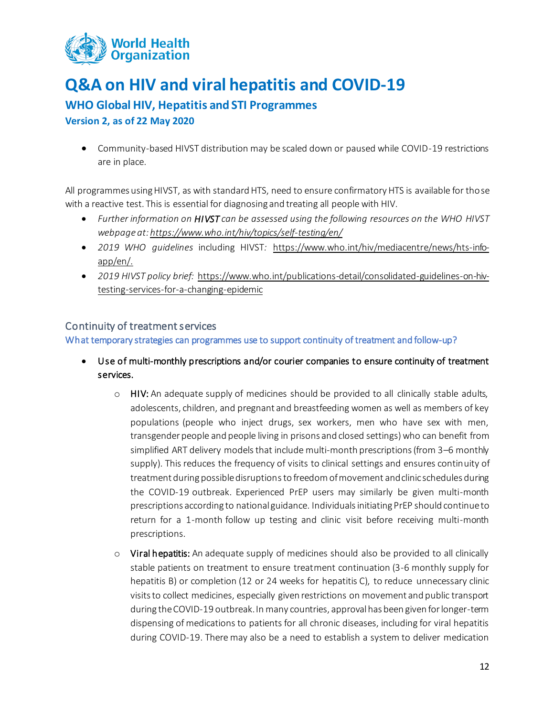

### **WHO Global HIV, Hepatitis and STI Programmes**

**Version 2, as of 22 May 2020**

• Community-based HIVST distribution may be scaled down or paused while COVID-19 restrictions are in place.

All programmes using HIVST, as with standard HTS, need to ensure confirmatory HTS is available for those with a reactive test. This is essential for diagnosing and treating all people with HIV.

- *Further information on HIVST can be assessed using the following resources on the WHO HIVST webpage at[: https://www.who.int/hiv/topics/self-testing/en/](https://www.who.int/hiv/topics/self-testing/en/)*
- *2019 WHO guidelines* including HIVST*:* [https://www.who.int/hiv/mediacentre/news/hts-info](https://www.who.int/hiv/mediacentre/news/hts-info-app/en/)[app/en/.](https://www.who.int/hiv/mediacentre/news/hts-info-app/en/)
- *2019 HIVST policy brief:* [https://www.who.int/publications-detail/consolidated-guidelines-on-hiv](https://www.who.int/publications-detail/consolidated-guidelines-on-hiv-testing-services-for-a-changing-epidemic)[testing-services-for-a-changing-epidemic](https://www.who.int/publications-detail/consolidated-guidelines-on-hiv-testing-services-for-a-changing-epidemic)

### <span id="page-11-0"></span>Continuity of treatment services

What temporary strategies can programmes use to support continuity of treatment and follow-up?

- Use of multi-monthly prescriptions and/or courier companies to ensure continuity of treatment services.
	- $\circ$  HIV: An adequate supply of medicines should be provided to all clinically stable adults, adolescents, children, and pregnant and breastfeeding women as well as members of key populations (people who inject drugs, sex workers, men who have sex with men, transgender people and people living in prisons and closed settings) who can benefit from simplified ART delivery models that include multi-month prescriptions (from 3–6 monthly supply). This reduces the frequency of visits to clinical settings and ensures continuity of treatment during possible disruptionsto freedom of movement and clinic schedules during the COVID-19 outbreak. Experienced PrEP users may similarly be given multi-month prescriptions according to national guidance. Individuals initiating PrEP should continue to return for a 1-month follow up testing and clinic visit before receiving multi-month prescriptions.
	- $\circ$  Viral hepatitis: An adequate supply of medicines should also be provided to all clinically stable patients on treatment to ensure treatment continuation (3-6 monthly supply for hepatitis B) or completion (12 or 24 weeks for hepatitis C), to reduce unnecessary clinic visits to collect medicines, especially given restrictions on movement and public transport during the COVID-19 outbreak. In many countries, approval has been given for longer-term dispensing of medications to patients for all chronic diseases, including for viral hepatitis during COVID-19. There may also be a need to establish a system to deliver medication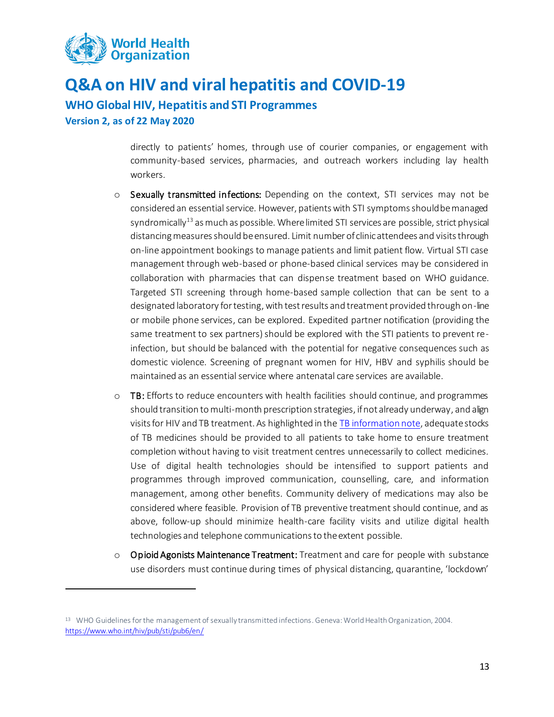

**WHO Global HIV, Hepatitis and STI Programmes**

**Version 2, as of 22 May 2020**

 $\overline{a}$ 

directly to patients' homes, through use of courier companies, or engagement with community-based services, pharmacies, and outreach workers including lay health workers.

- o Sexually transmitted infections: Depending on the context, STI services may not be considered an essential service. However, patients with STI symptoms should be managed syndromically<sup>13</sup> as much as possible. Where limited STI services are possible, strict physical distancing measures should be ensured. Limit number of clinic attendees and visits through on-line appointment bookings to manage patients and limit patient flow. Virtual STI case management through web-based or phone-based clinical services may be considered in collaboration with pharmacies that can dispense treatment based on WHO guidance. Targeted STI screening through home-based sample collection that can be sent to a designated laboratory for testing, with test results and treatment provided through on-line or mobile phone services, can be explored. Expedited partner notification (providing the same treatment to sex partners) should be explored with the STI patients to prevent reinfection, but should be balanced with the potential for negative consequences such as domestic violence. Screening of pregnant women for HIV, HBV and syphilis should be maintained as an essential service where antenatal care services are available.
- $\circ$  TB: Efforts to reduce encounters with health facilities should continue, and programmes should transition to multi-month prescription strategies, if not already underway, and align visits for HIV and TB treatment. As highlighted in the [TB information note,](https://www.who.int/tb/COVID_19considerations_tuberculosis_services.pdf) adequate stocks of TB medicines should be provided to all patients to take home to ensure treatment completion without having to visit treatment centres unnecessarily to collect medicines. Use of digital health technologies should be intensified to support patients and programmes through improved communication, counselling, care, and information management, among other benefits. Community delivery of medications may also be considered where feasible. Provision of TB preventive treatment should continue, and as above, follow-up should minimize health-care facility visits and utilize digital health technologies and telephone communications to the extent possible.
- o Opioid Agonists Maintenance Treatment: Treatment and care for people with substance use disorders must continue during times of physical distancing, quarantine, 'lockdown'

<sup>&</sup>lt;sup>13</sup> WHO Guidelines for the management of sexually transmitted infections. Geneva: World Health Organization, 2004. <https://www.who.int/hiv/pub/sti/pub6/en/>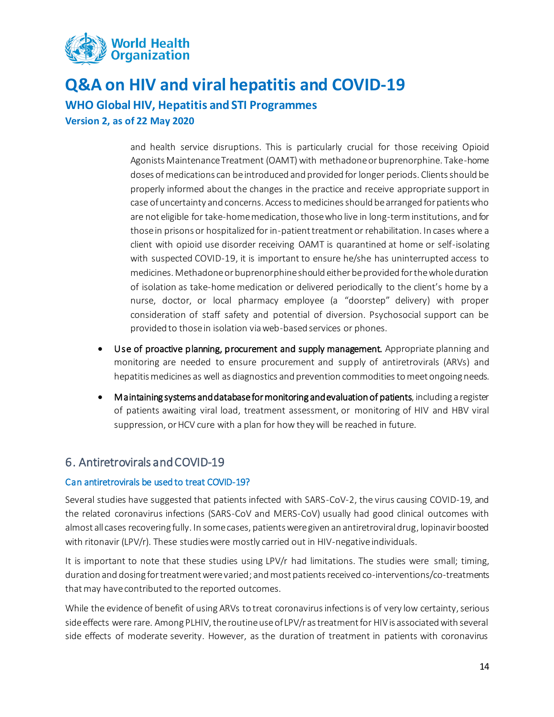

**WHO Global HIV, Hepatitis and STI Programmes**

**Version 2, as of 22 May 2020**

and health service disruptions. This is particularly crucial for those receiving Opioid Agonists Maintenance Treatment (OAMT) with methadone or buprenorphine. Take-home doses of medications can be introduced and provided for longer periods. Clients should be properly informed about the changes in the practice and receive appropriate support in case of uncertainty and concerns. Access to medicines should be arranged for patients who are not eligible for take-home medication, those who live in long-term institutions, and for those in prisons or hospitalized for in-patient treatment or rehabilitation. In cases where a client with opioid use disorder receiving OAMT is quarantined at home or self-isolating with suspected COVID-19, it is important to ensure he/she has uninterrupted access to medicines. Methadone or buprenorphine should either be provided for the whole duration of isolation as take-home medication or delivered periodically to the client's home by a nurse, doctor, or local pharmacy employee (a "doorstep" delivery) with proper consideration of staff safety and potential of diversion. Psychosocial support can be provided to those in isolation via web-based services or phones.

- Use of proactive planning, procurement and supply management. Appropriate planning and monitoring are needed to ensure procurement and supply of antiretrovirals (ARVs) and hepatitis medicines as well as diagnostics and prevention commodities to meet ongoing needs.
- Maintaining systems and database for monitoring and evaluation of patients, including a register of patients awaiting viral load, treatment assessment, or monitoring of HIV and HBV viral suppression, or HCV cure with a plan for how they will be reached in future.

## <span id="page-13-0"></span>6. Antiretrovirals and COVID-19

#### Can antiretrovirals be used to treat COVID-19?

Several studies have suggested that patients infected with SARS-CoV-2, the virus causing COVID-19, and the related coronavirus infections (SARS-CoV and MERS-CoV) usually had good clinical outcomes with almost all cases recovering fully. In some cases, patients were given an antiretroviral drug, lopinavir boosted with ritonavir (LPV/r). These studies were mostly carried out in HIV-negative individuals.

It is important to note that these studies using LPV/r had limitations. The studies were small; timing, duration and dosing for treatment were varied; and most patients received co-interventions/co-treatments that may have contributed to the reported outcomes.

While the evidence of benefit of using ARVs to treat coronavirus infections is of very low certainty, serious side effects were rare. Among PLHIV, the routine use of LPV/r as treatment for HIV is associated with several side effects of moderate severity. However, as the duration of treatment in patients with coronavirus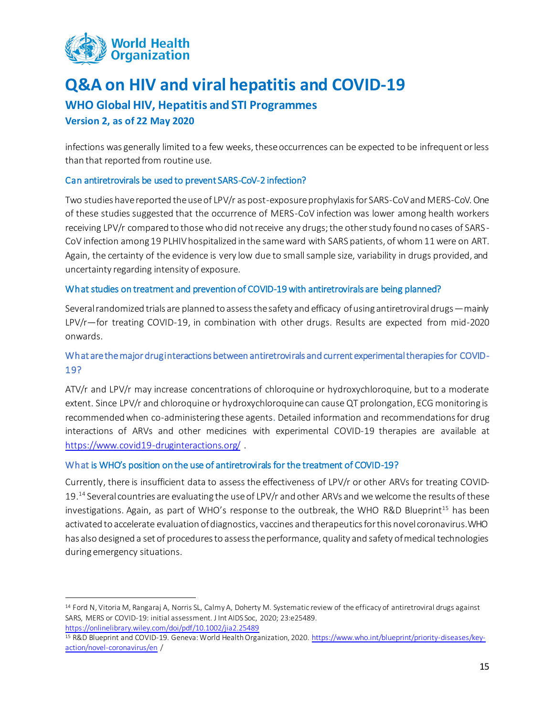

### **WHO Global HIV, Hepatitis and STI Programmes**

#### **Version 2, as of 22 May 2020**

 $\overline{a}$ 

infections was generally limited to a few weeks, these occurrences can be expected to be infrequent or less than that reported from routine use.

#### Can antiretrovirals be used to prevent SARS-CoV-2 infection?

Two studies have reported the use of LPV/r as post-exposure prophylaxis for SARS-CoV and MERS-CoV. One of these studies suggested that the occurrence of MERS-CoV infection was lower among health workers receiving LPV/r compared to those who did not receive any drugs; the other study found no cases of SARS - CoV infection among 19 PLHIV hospitalized in the same ward with SARS patients, of whom 11 were on ART. Again, the certainty of the evidence is very low due to small sample size, variability in drugs provided, and uncertainty regarding intensity of exposure.

#### What studies on treatment and prevention of COVID-19 with antiretrovirals are being planned?

Several randomized trials are planned to assess the safety and efficacy of using antiretroviral drugs—mainly LPV/r—for treating COVID-19, in combination with other drugs. Results are expected from mid-2020 onwards.

### What are the major drug interactions between antiretrovirals and current experimental therapies for COVID-19?

ATV/r and LPV/r may increase concentrations of chloroquine or hydroxychloroquine, but to a moderate extent. Since LPV/r and chloroquine or hydroxychloroquine can cause QT prolongation, ECG monitoring is recommended when co-administering these agents. Detailed information and recommendations for drug interactions of ARVs and other medicines with experimental COVID-19 therapies are available at <https://www.covid19-druginteractions.org/> .

#### What is WHO's position on the use of antiretrovirals for the treatment of COVID-19?

Currently, there is insufficient data to assess the effectiveness of LPV/r or other ARVs for treating COVID-19. <sup>14</sup> Several countries are evaluating the use of LPV/r and other ARVs and we welcome the results of these investigations. Again, as part of WHO's response to the outbreak, the WHO R&D Blueprint<sup>15</sup> has been activated to accelerate evaluation of diagnostics, vaccines and therapeutics for this novel coronavirus. WHO has also designed a set of procedures to assess the performance, quality and safety of medical technologies during emergency situations.

<sup>14</sup> Ford N, Vitoria M, Rangaraj A, Norris SL, Calmy A, Doherty M. Systematic review of the efficacy of antiretroviral drugs against SARS, MERS or COVID-19: initial assessment. J Int AIDS Soc, 2020; 23:e25489. <https://onlinelibrary.wiley.com/doi/pdf/10.1002/jia2.25489>

<sup>15</sup> R&D Blueprint and COVID-19. Geneva: World Health Organization, 2020. [https://www.who.int/blueprint/priority-diseases/key](https://www.who.int/blueprint/priority-diseases/key-action/novel-coronavirus/en)[action/novel-coronavirus/en](https://www.who.int/blueprint/priority-diseases/key-action/novel-coronavirus/en) /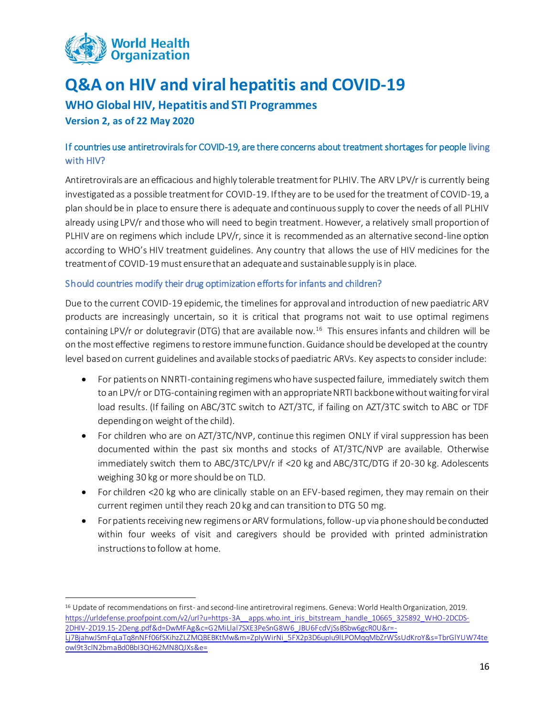

**WHO Global HIV, Hepatitis and STI Programmes**

**Version 2, as of 22 May 2020**

 $\overline{a}$ 

### If countries use antiretrovirals for COVID-19, are there concerns about treatment shortages for people living with HIV?

Antiretrovirals are an efficacious and highly tolerable treatment for PLHIV. The ARV LPV/r is currently being investigated as a possible treatment for COVID-19. If they are to be used for the treatment of COVID-19, a plan should be in place to ensure there is adequate and continuous supply to cover the needs of all PLHIV already using LPV/r and those who will need to begin treatment. However, a relatively small proportion of PLHIV are on regimens which include LPV/r, since it is recommended as an alternative second-line option according to WHO's HIV treatment guidelines. Any country that allows the use of HIV medicines for the treatment of COVID-19 must ensure that an adequate and sustainable supply is in place.

#### Should countries modify their drug optimization efforts for infants and children?

Due to the current COVID-19 epidemic, the timelines for approval and introduction of new paediatric ARV products are increasingly uncertain, so it is critical that programs not wait to use optimal regimens containing LPV/r or dolutegravir (DTG) that are available now.<sup>16</sup> This ensures infants and children will be on the most effective regimens to restore immune function. Guidance should be developed at the country level based on current guidelines and available stocks of paediatric ARVs. Key aspects to consider include:

- For patients on NNRTI-containing regimens who have suspected failure, immediately switch them to an LPV/r or DTG-containing regimen with an appropriate NRTI backbone without waiting for viral load results. (If failing on ABC/3TC switch to AZT/3TC, if failing on AZT/3TC switch to ABC or TDF depending on weight of the child).
- For children who are on AZT/3TC/NVP, continue this regimen ONLY if viral suppression has been documented within the past six months and stocks of AT/3TC/NVP are available. Otherwise immediately switch them to ABC/3TC/LPV/r if <20 kg and ABC/3TC/DTG if 20-30 kg. Adolescents weighing 30 kg or more should be on TLD.
- For children <20 kg who are clinically stable on an EFV-based regimen, they may remain on their current regimen until they reach 20 kg and can transition to DTG 50 mg.
- For patients receiving new regimens or ARV formulations, follow-up via phone should be conducted within four weeks of visit and caregivers should be provided with printed administration instructions to follow at home.

<sup>16</sup> Update of recommendations on first- and second-line antiretroviral regimens. Geneva: World Health Organization, 2019. [https://urldefense.proofpoint.com/v2/url?u=https-3A\\_\\_apps.who.int\\_iris\\_bitstream\\_handle\\_10665\\_325892\\_WHO-2DCDS-](https://urldefense.proofpoint.com/v2/url?u=https-3A__apps.who.int_iris_bitstream_handle_10665_325892_WHO-2DCDS-2DHIV-2D19.15-2Deng.pdf&d=DwMFAg&c=G2MiLlal7SXE3PeSnG8W6_JBU6FcdVjSsBSbw6gcR0U&r=-Lj7BjahwJSmFqLaTq8nNFf06fSKihzZLZMQBEBKtMw&m=ZpIyWirNi_5FX2p3D6upIu9lLPOMqqMbZrWSsUdKroY&s=TbrGlYUW74teowl9t3clN2bmaBd0BbI3QH62MN8QJXs&e=)[2DHIV-2D19.15-2Deng.pdf&d=DwMFAg&c=G2MiLlal7SXE3PeSnG8W6\\_JBU6FcdVjSsBSbw6gcR0U&r=-](https://urldefense.proofpoint.com/v2/url?u=https-3A__apps.who.int_iris_bitstream_handle_10665_325892_WHO-2DCDS-2DHIV-2D19.15-2Deng.pdf&d=DwMFAg&c=G2MiLlal7SXE3PeSnG8W6_JBU6FcdVjSsBSbw6gcR0U&r=-Lj7BjahwJSmFqLaTq8nNFf06fSKihzZLZMQBEBKtMw&m=ZpIyWirNi_5FX2p3D6upIu9lLPOMqqMbZrWSsUdKroY&s=TbrGlYUW74teowl9t3clN2bmaBd0BbI3QH62MN8QJXs&e=) [Lj7BjahwJSmFqLaTq8nNFf06fSKihzZLZMQBEBKtMw&m=ZpIyWirNi\\_5FX2p3D6upIu9lLPOMqqMbZrWSsUdKroY&s=TbrGlYUW74te](https://urldefense.proofpoint.com/v2/url?u=https-3A__apps.who.int_iris_bitstream_handle_10665_325892_WHO-2DCDS-2DHIV-2D19.15-2Deng.pdf&d=DwMFAg&c=G2MiLlal7SXE3PeSnG8W6_JBU6FcdVjSsBSbw6gcR0U&r=-Lj7BjahwJSmFqLaTq8nNFf06fSKihzZLZMQBEBKtMw&m=ZpIyWirNi_5FX2p3D6upIu9lLPOMqqMbZrWSsUdKroY&s=TbrGlYUW74teowl9t3clN2bmaBd0BbI3QH62MN8QJXs&e=) [owl9t3clN2bmaBd0BbI3QH62MN8QJXs&e=](https://urldefense.proofpoint.com/v2/url?u=https-3A__apps.who.int_iris_bitstream_handle_10665_325892_WHO-2DCDS-2DHIV-2D19.15-2Deng.pdf&d=DwMFAg&c=G2MiLlal7SXE3PeSnG8W6_JBU6FcdVjSsBSbw6gcR0U&r=-Lj7BjahwJSmFqLaTq8nNFf06fSKihzZLZMQBEBKtMw&m=ZpIyWirNi_5FX2p3D6upIu9lLPOMqqMbZrWSsUdKroY&s=TbrGlYUW74teowl9t3clN2bmaBd0BbI3QH62MN8QJXs&e=)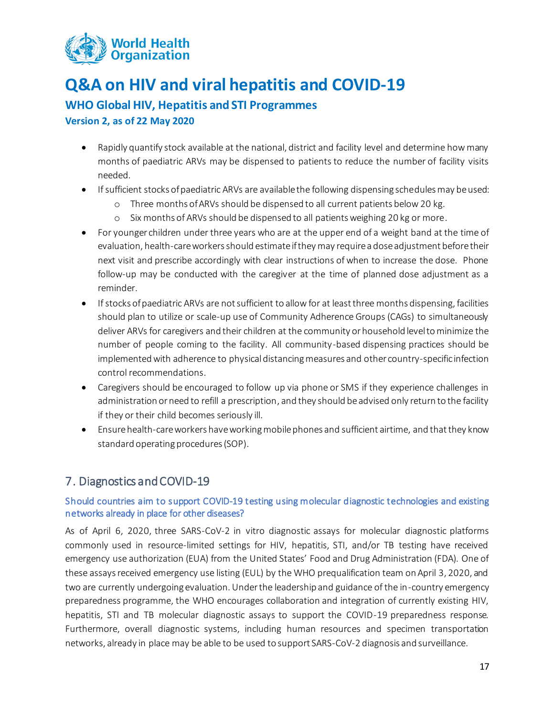

### **WHO Global HIV, Hepatitis and STI Programmes**

**Version 2, as of 22 May 2020**

- Rapidly quantify stock available at the national, district and facility level and determine how many months of paediatric ARVs may be dispensed to patients to reduce the number of facility visits needed.
- If sufficient stocks of paediatric ARVs are available the following dispensing schedules may be used:
	- o Three months of ARVs should be dispensed to all current patients below 20 kg.
	- o Six months of ARVs should be dispensed to all patients weighing 20 kg or more.
- For younger children under three years who are at the upper end of a weight band at the time of evaluation, health-care workers should estimate if they may require a dose adjustment before their next visit and prescribe accordingly with clear instructions of when to increase the dose. Phone follow-up may be conducted with the caregiver at the time of planned dose adjustment as a reminder.
- If stocks of paediatric ARVs are not sufficient to allow for at least three months dispensing, facilities should plan to utilize or scale-up use of Community Adherence Groups (CAGs) to simultaneously deliver ARVs for caregivers and their children at the community or household level to minimize the number of people coming to the facility. All community-based dispensing practices should be implemented with adherence to physicaldistancing measures and other country-specific infection control recommendations.
- Caregivers should be encouraged to follow up via phone or SMS if they experience challenges in administration or need to refill a prescription, and they should be advised only return to the facility if they or their child becomes seriously ill.
- Ensure health-care workers have working mobile phones and sufficient airtime, and that they know standard operating procedures (SOP).

## <span id="page-16-0"></span>7. Diagnostics and COVID-19

### Should countries aim to support COVID-19 testing using molecular diagnostic technologies and existing networks already in place for other diseases?

As of April 6, 2020, three SARS-CoV-2 in vitro diagnostic assays for molecular diagnostic platforms commonly used in resource-limited settings for HIV, hepatitis, STI, and/or TB testing have received emergency use authorization (EUA) from the United States' Food and Drug Administration (FDA). One of these assays received emergency use listing (EUL) by the WHO prequalification team on April 3, 2020, and two are currently undergoing evaluation. Under the leadership and guidance of the in-country emergency preparedness programme, the WHO encourages collaboration and integration of currently existing HIV, hepatitis, STI and TB molecular diagnostic assays to support the COVID-19 preparedness response. Furthermore, overall diagnostic systems, including human resources and specimen transportation networks, already in place may be able to be used to support SARS-CoV-2 diagnosis and surveillance.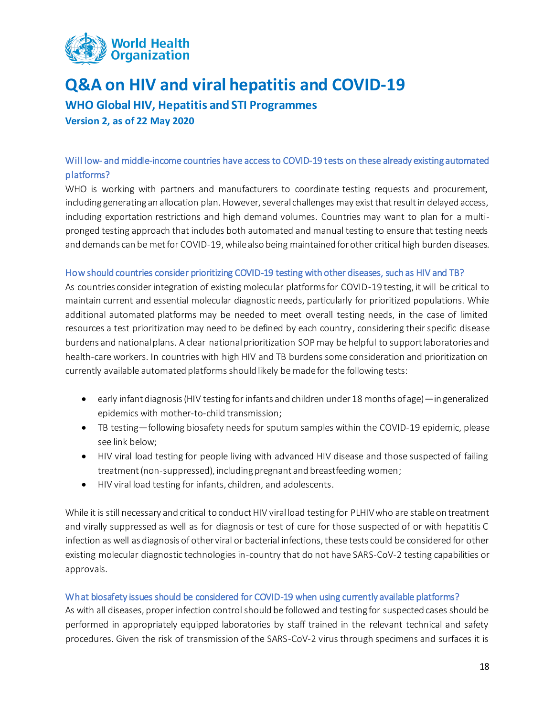

**WHO Global HIV, Hepatitis and STI Programmes Version 2, as of 22 May 2020**

### Will low- and middle-income countries have access to COVID-19 tests on these already existing automated platforms?

WHO is working with partners and manufacturers to coordinate testing requests and procurement, including generating an allocation plan. However, several challenges may exist that result in delayed access, including exportation restrictions and high demand volumes. Countries may want to plan for a multipronged testing approach that includes both automated and manual testing to ensure that testing needs and demands can be met for COVID-19, while also being maintained for other critical high burden diseases.

#### How should countries consider prioritizing COVID-19 testing with other diseases, such as HIV and TB?

As countries consider integration of existing molecular platforms for COVID-19 testing, it will be critical to maintain current and essential molecular diagnostic needs, particularly for prioritized populations. While additional automated platforms may be needed to meet overall testing needs, in the case of limited resources a test prioritization may need to be defined by each country, considering their specific disease burdens and national plans. A clear national prioritization SOP may be helpful to support laboratories and health-care workers. In countries with high HIV and TB burdens some consideration and prioritization on currently available automated platforms should likely be made for the following tests:

- early infant diagnosis (HIV testing for infants and children under 18 months of age)—in generalized epidemics with mother-to-child transmission;
- TB testing—following biosafety needs for sputum samples within the COVID-19 epidemic, please see link below;
- HIV viral load testing for people living with advanced HIV disease and those suspected of failing treatment (non-suppressed), including pregnant and breastfeeding women;
- HIV viral load testing for infants, children, and adolescents.

While it is still necessary and critical to conduct HIV viral load testing for PLHIVwho are stable on treatment and virally suppressed as well as for diagnosis or test of cure for those suspected of or with hepatitis C infection as well as diagnosis of other viral or bacterial infections, these tests could be considered for other existing molecular diagnostic technologies in-country that do not have SARS-CoV-2 testing capabilities or approvals.

#### What biosafety issues should be considered for COVID-19 when using currently available platforms?

As with all diseases, proper infection control should be followed and testing for suspected cases should be performed in appropriately equipped laboratories by staff trained in the relevant technical and safety procedures. Given the risk of transmission of the SARS-CoV-2 virus through specimens and surfaces it is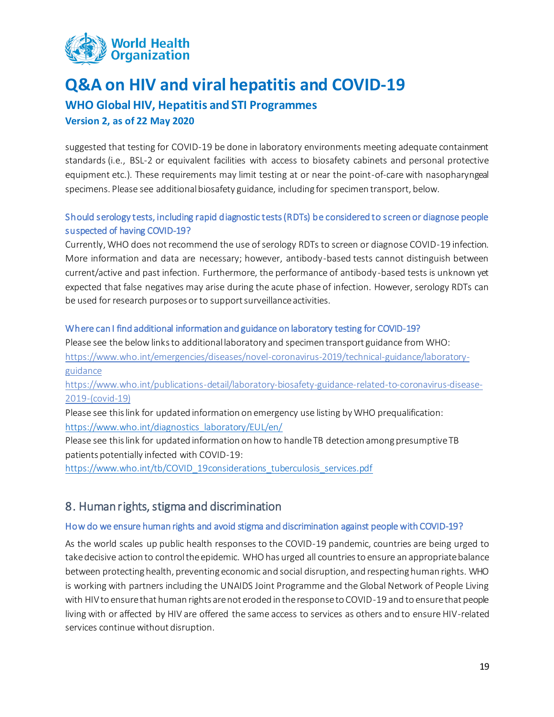

## **WHO Global HIV, Hepatitis and STI Programmes**

#### **Version 2, as of 22 May 2020**

suggested that testing for COVID-19 be done in laboratory environments meeting adequate containment standards (i.e., BSL-2 or equivalent facilities with access to biosafety cabinets and personal protective equipment etc.). These requirements may limit testing at or near the point-of-care with nasopharyngeal specimens. Please see additional biosafety guidance, including for specimen transport, below.

### Should serology tests, including rapid diagnostic tests (RDTs) be considered to screen or diagnose people suspected of having COVID-19?

Currently, WHO does not recommend the use of serology RDTs to screen or diagnose COVID-19 infection. More information and data are necessary; however, antibody-based tests cannot distinguish between current/active and past infection. Furthermore, the performance of antibody-based tests is unknown yet expected that false negatives may arise during the acute phase of infection. However, serology RDTs can be used for research purposes or to support surveillance activities.

#### Where can I find additional information and guidance on laboratory testing for COVID-19?

Please see the below linksto additional laboratory and specimen transport guidance from WHO: [https://www.who.int/emergencies/diseases/novel-coronavirus-2019/technical-guidance/laboratory](https://www.who.int/emergencies/diseases/novel-coronavirus-2019/technical-guidance/laboratory-guidance)[guidance](https://www.who.int/emergencies/diseases/novel-coronavirus-2019/technical-guidance/laboratory-guidance)

[https://www.who.int/publications-detail/laboratory-biosafety-guidance-related-to-coronavirus-disease-](https://www.who.int/publications-detail/laboratory-biosafety-guidance-related-to-coronavirus-disease-2019-(covid-19))[2019-\(covid-19\)](https://www.who.int/publications-detail/laboratory-biosafety-guidance-related-to-coronavirus-disease-2019-(covid-19))

Please see this link for updated information on emergency use listing by WHO prequalification: [https://www.who.int/diagnostics\\_laboratory/EUL/en/](https://www.who.int/diagnostics_laboratory/EUL/en/)

Please see this link for updated information on how to handle TB detection among presumptive TB patients potentially infected with COVID-19:

<span id="page-18-0"></span>[https://www.who.int/tb/COVID\\_19considerations\\_tuberculosis\\_services.pdf](https://www.who.int/tb/COVID_19considerations_tuberculosis_services.pdf)

## 8. Human rights, stigma and discrimination

#### How do we ensure human rights and avoid stigma and discrimination against people with COVID-19?

As the world scales up public health responses to the COVID-19 pandemic, countries are being urged to take decisive action to control the epidemic. WHO has urged all countries to ensure an appropriate balance between protecting health, preventing economic and social disruption, and respecting human rights. WHO is working with partners including the UNAIDS Joint Programme and the Global Network of People Living with HIV to ensure that human rights are not eroded in the response to COVID-19 and to ensure that people living with or affected by HIV are offered the same access to services as others and to ensure HIV-related services continue without disruption.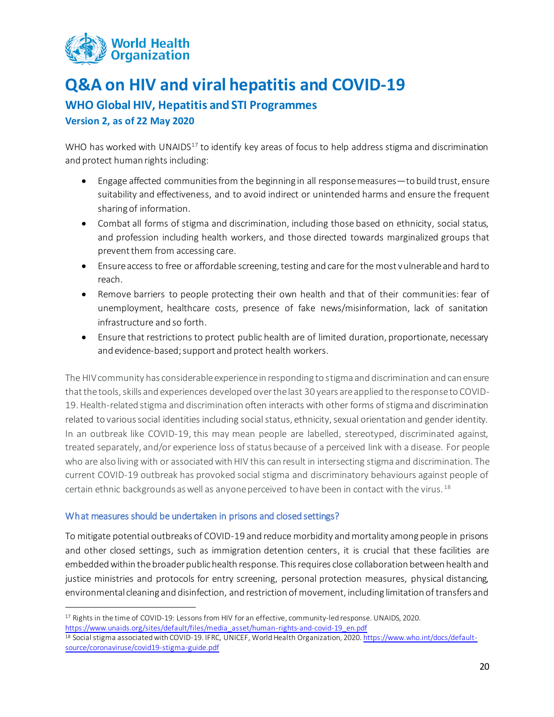

**WHO Global HIV, Hepatitis and STI Programmes**

**Version 2, as of 22 May 2020**

WHO has worked with UNAIDS<sup>17</sup> to identify key areas of focus to help address stigma and discrimination and protect human rights including:

- Engage affected communities from the beginning in all response measures—to build trust, ensure suitability and effectiveness, and to avoid indirect or unintended harms and ensure the frequent sharing of information.
- Combat all forms of stigma and discrimination, including those based on ethnicity, social status, and profession including health workers, and those directed towards marginalized groups that prevent them from accessing care.
- Ensure access to free or affordable screening, testing and care for the most vulnerable and hard to reach.
- Remove barriers to people protecting their own health and that of their communities: fear of unemployment, healthcare costs, presence of fake news/misinformation, lack of sanitation infrastructure and so forth.
- Ensure that restrictions to protect public health are of limited duration, proportionate, necessary and evidence-based; support and protect health workers.

The HIV community has considerable experience in responding to stigma and discrimination and can ensure that the tools, skills and experiences developed over the last 30 years are applied to the response to COVID-19. Health-related stigma and discrimination often interacts with other forms of stigma and discrimination related to various social identities including social status, ethnicity, sexual orientation and gender identity. In an outbreak like COVID-19, this may mean people are labelled, stereotyped, discriminated against, treated separately, and/or experience loss of status because of a perceived link with a disease. For people who are also living with or associated with HIV this can result in intersecting stigma and discrimination. The current COVID-19 outbreak has provoked social stigma and discriminatory behaviours against people of certain ethnic backgrounds as well as anyone perceived to have been in contact with the virus. <sup>18</sup>

#### What measures should be undertaken in prisons and closed settings?

 $\overline{a}$ 

To mitigate potential outbreaks of COVID-19 and reduce morbidity and mortality among people in prisons and other closed settings, such as immigration detention centers, it is crucial that these facilities are embedded within the broader public health response. This requires close collaboration between health and justice ministries and protocols for entry screening, personal protection measures, physical distancing, environmental cleaning and disinfection, and restriction of movement, including limitation of transfers and

<sup>17</sup> Rights in the time of COVID-19: Lessons from HIV for an effective, community-led response. UNAIDS, 2020. [https://www.unaids.org/sites/default/files/media\\_asset/human-rights-and-covid-19\\_en.pdf](https://www.unaids.org/sites/default/files/media_asset/human-rights-and-covid-19_en.pdf)

<sup>18</sup> Social stigma associated with COVID-19. IFRC, UNICEF, World Health Organization, 2020. [https://www.who.int/docs/default](https://www.who.int/docs/default-source/coronaviruse/covid19-stigma-guide.pdf)[source/coronaviruse/covid19-stigma-guide.pdf](https://www.who.int/docs/default-source/coronaviruse/covid19-stigma-guide.pdf)